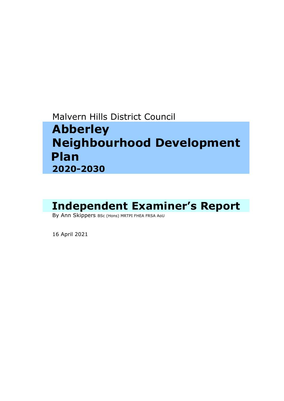Malvern Hills District Council

# **Abberley Neighbourhood Development Plan 2020-2030**

# Independent Examiner's Report<br>By Ann Skippers BSc (Hons) MRTPI FHEA FRSA AoU

16 April <sup>2021</sup>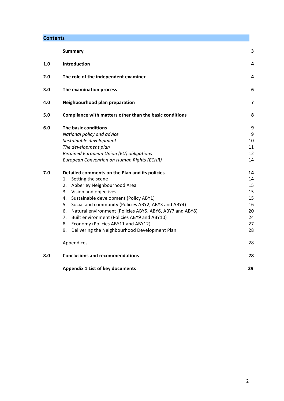# **Contents**

|     | <b>Summary</b>                                                 | 3  |
|-----|----------------------------------------------------------------|----|
| 1.0 | <b>Introduction</b>                                            | 4  |
| 2.0 | The role of the independent examiner                           | 4  |
| 3.0 | The examination process                                        | 6  |
| 4.0 | Neighbourhood plan preparation                                 | 7  |
| 5.0 | Compliance with matters other than the basic conditions        | 8  |
| 6.0 | The basic conditions                                           | 9  |
|     | National policy and advice                                     | 9  |
|     | Sustainable development                                        | 10 |
|     | The development plan                                           | 11 |
|     | Retained European Union (EU) obligations                       | 12 |
|     | European Convention on Human Rights (ECHR)                     | 14 |
| 7.0 | Detailed comments on the Plan and its policies                 | 14 |
|     | Setting the scene<br>1.                                        | 14 |
|     | Abberley Neighbourhood Area<br>2.                              | 15 |
|     | Vision and objectives<br>3.                                    | 15 |
|     | Sustainable development (Policy ABY1)<br>4.                    | 15 |
|     | Social and community (Policies ABY2, ABY3 and ABY4)<br>5.      | 16 |
|     | Natural environment (Policies ABY5, ABY6, ABY7 and ABY8)<br>6. | 20 |
|     | Built environment (Policies ABY9 and ABY10)<br>7.              | 24 |
|     | Economy (Policies ABY11 and ABY12)<br>8.                       | 27 |
|     | Delivering the Neighbourhood Development Plan<br>9.            | 28 |
|     | Appendices                                                     | 28 |
| 8.0 | <b>Conclusions and recommendations</b>                         | 28 |
|     | <b>Appendix 1 List of key documents</b>                        | 29 |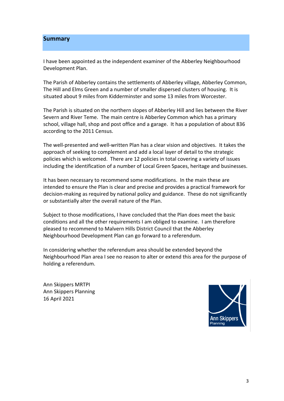#### **Summary**

I have been appointed as the independent examiner of the Abberley Neighbourhood Development Plan.

The Parish of Abberley contains the settlements of Abberley village, Abberley Common, The Hill and Elms Green and a number of smaller dispersed clusters of housing. It is situated about 9 miles from Kidderminster and some 13 miles from Worcester.

The Parish is situated on the northern slopes of Abberley Hill and lies between the River Severn and River Teme. The main centre is Abberley Common which has a primary school, village hall, shop and post office and a garage. It has a population of about 836 according to the 2011 Census.

The well-presented and well-written Plan has a clear vision and objectives. It takes the approach of seeking to complement and add a local layer of detail to the strategic policies which is welcomed. There are 12 policies in total covering a variety of issues including the identification of a number of Local Green Spaces, heritage and businesses.

It has been necessary to recommend some modifications. In the main these are intended to ensure the Plan is clear and precise and provides a practical framework for decision-making as required by national policy and guidance. These do not significantly or substantially alter the overall nature of the Plan.

Subject to those modifications, I have concluded that the Plan does meet the basic conditions and all the other requirements I am obliged to examine. I am therefore pleased to recommend to Malvern Hills District Council that the Abberley Neighbourhood Development Plan can go forward to a referendum.

In considering whether the referendum area should be extended beyond the Neighbourhood Plan area I see no reason to alter or extend this area for the purpose of holding a referendum.

Ann Skippers MRTPI Ann Skippers Planning 16 April 2021

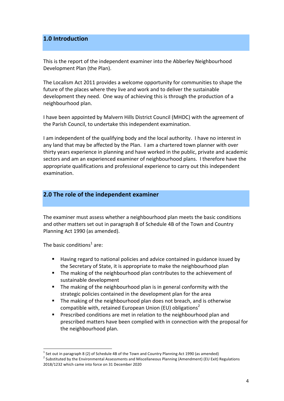# **1.0 Introduction**

This is the report of the independent examiner into the Abberley Neighbourhood Development Plan (the Plan).

The Localism Act 2011 provides a welcome opportunity for communities to shape the future of the places where they live and work and to deliver the sustainable development they need. One way of achieving this is through the production of a neighbourhood plan. 

I have been appointed by Malvern Hills District Council (MHDC) with the agreement of the Parish Council, to undertake this independent examination.

I am independent of the qualifying body and the local authority. I have no interest in any land that may be affected by the Plan. I am a chartered town planner with over thirty years experience in planning and have worked in the public, private and academic sectors and am an experienced examiner of neighbourhood plans. I therefore have the appropriate qualifications and professional experience to carry out this independent examination. 

# **2.0** The role of the independent examiner

The examiner must assess whether a neighbourhood plan meets the basic conditions and other matters set out in paragraph 8 of Schedule 4B of the Town and Country Planning Act 1990 (as amended).

The basic conditions<sup>1</sup> are:

- **E** Having regard to national policies and advice contained in guidance issued by the Secretary of State, it is appropriate to make the neighbourhood plan
- The making of the neighbourhood plan contributes to the achievement of sustainable development
- **E** The making of the neighbourhood plan is in general conformity with the strategic policies contained in the development plan for the area
- The making of the neighbourhood plan does not breach, and is otherwise compatible with, retained European Union (EU) obligations<sup>2</sup>
- Prescribed conditions are met in relation to the neighbourhood plan and prescribed matters have been complied with in connection with the proposal for the neighbourhood plan.

 $<sup>1</sup>$  Set out in paragraph 8 (2) of Schedule 4B of the Town and Country Planning Act 1990 (as amended)</sup>

 $2$  Substituted by the Environmental Assessments and Miscellaneous Planning (Amendment) (EU Exit) Regulations 2018/1232 which came into force on 31 December 2020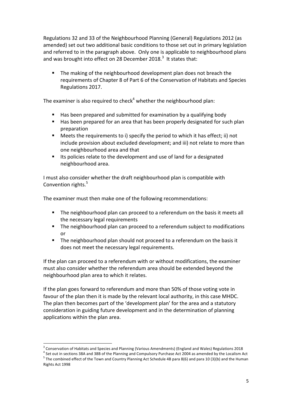Regulations 32 and 33 of the Neighbourhood Planning (General) Regulations 2012 (as amended) set out two additional basic conditions to those set out in primary legislation and referred to in the paragraph above. Only one is applicable to neighbourhood plans and was brought into effect on 28 December 2018.<sup>3</sup> It states that:

The making of the neighbourhood development plan does not breach the requirements of Chapter 8 of Part 6 of the Conservation of Habitats and Species Regulations 2017.

The examiner is also required to check<sup>4</sup> whether the neighbourhood plan:

- Has been prepared and submitted for examination by a qualifying body
- Has been prepared for an area that has been properly designated for such plan preparation
- E Meets the requirements to i) specify the period to which it has effect; ii) not include provision about excluded development; and iii) not relate to more than one neighbourhood area and that
- Its policies relate to the development and use of land for a designated neighbourhood area.

I must also consider whether the draft neighbourhood plan is compatible with Convention rights.<sup>5</sup>

The examiner must then make one of the following recommendations:

- **•** The neighbourhood plan can proceed to a referendum on the basis it meets all the necessary legal requirements
- **•** The neighbourhood plan can proceed to a referendum subject to modifications or
- The neighbourhood plan should not proceed to a referendum on the basis it does not meet the necessary legal requirements.

If the plan can proceed to a referendum with or without modifications, the examiner must also consider whether the referendum area should be extended beyond the neighbourhood plan area to which it relates.

If the plan goes forward to referendum and more than 50% of those voting vote in favour of the plan then it is made by the relevant local authority, in this case MHDC. The plan then becomes part of the 'development plan' for the area and a statutory consideration in guiding future development and in the determination of planning applications within the plan area.

<sup>&</sup>lt;sup>3</sup> Conservation of Habitats and Species and Planning (Various Amendments) (England and Wales) Regulations 2018<br><sup>4</sup> Set out in sections 38A and 38B of the Planning and Compulsory Purchase Act 2004 as amended by the Locali Rights Act 1998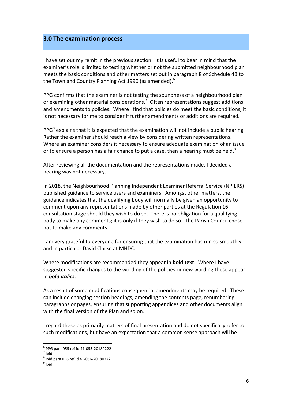#### **3.0 The examination process**

I have set out my remit in the previous section. It is useful to bear in mind that the examiner's role is limited to testing whether or not the submitted neighbourhood plan meets the basic conditions and other matters set out in paragraph 8 of Schedule 4B to the Town and Country Planning Act 1990 (as amended).<sup>6</sup>

PPG confirms that the examiner is not testing the soundness of a neighbourhood plan or examining other material considerations.<sup>7</sup> Often representations suggest additions and amendments to policies. Where I find that policies do meet the basic conditions, it is not necessary for me to consider if further amendments or additions are required.

PPG $^8$  explains that it is expected that the examination will not include a public hearing. Rather the examiner should reach a view by considering written representations. Where an examiner considers it necessary to ensure adequate examination of an issue or to ensure a person has a fair chance to put a case, then a hearing must be held.<sup>9</sup>

After reviewing all the documentation and the representations made, I decided a hearing was not necessary.

In 2018, the Neighbourhood Planning Independent Examiner Referral Service (NPIERS) published guidance to service users and examiners. Amongst other matters, the guidance indicates that the qualifying body will normally be given an opportunity to comment upon any representations made by other parties at the Regulation 16 consultation stage should they wish to do so. There is no obligation for a qualifying body to make any comments; it is only if they wish to do so. The Parish Council chose not to make any comments.

I am very grateful to everyone for ensuring that the examination has run so smoothly and in particular David Clarke at MHDC.

Where modifications are recommended they appear in **bold text**. Where I have suggested specific changes to the wording of the policies or new wording these appear in *bold italics*. 

As a result of some modifications consequential amendments may be required. These can include changing section headings, amending the contents page, renumbering paragraphs or pages, ensuring that supporting appendices and other documents align with the final version of the Plan and so on.

I regard these as primarily matters of final presentation and do not specifically refer to such modifications, but have an expectation that a common sense approach will be

 $^6$  PPG para 055 ref id 41-055-20180222<br><sup>7</sup> Ibid

 $^8$  Ibid para 056 ref id 41-056-20180222<br> $^9$  Ibid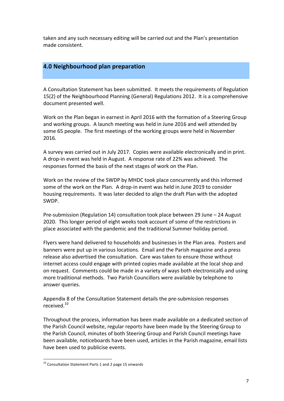taken and any such necessary editing will be carried out and the Plan's presentation made consistent.

# **4.0 Neighbourhood plan preparation**

A Consultation Statement has been submitted. It meets the requirements of Regulation 15(2) of the Neighbourhood Planning (General) Regulations 2012. It is a comprehensive document presented well.

Work on the Plan began in earnest in April 2016 with the formation of a Steering Group and working groups. A launch meeting was held in June 2016 and well attended by some 65 people. The first meetings of the working groups were held in November 2016.

A survey was carried out in July 2017. Copies were available electronically and in print. A drop-in event was held in August. A response rate of 22% was achieved. The responses formed the basis of the next stages of work on the Plan.

Work on the review of the SWDP by MHDC took place concurrently and this informed some of the work on the Plan. A drop-in event was held in June 2019 to consider housing requirements. It was later decided to align the draft Plan with the adopted SWDP.

Pre-submission (Regulation 14) consultation took place between 29 June  $-$  24 August 2020. This longer period of eight weeks took account of some of the restrictions in place associated with the pandemic and the traditional Summer holiday period.

Flyers were hand delivered to households and businesses in the Plan area. Posters and banners were put up in various locations. Email and the Parish magazine and a press release also advertised the consultation. Care was taken to ensure those without internet access could engage with printed copies made available at the local shop and on request. Comments could be made in a variety of ways both electronically and using more traditional methods. Two Parish Councillors were available by telephone to answer queries.

Appendix 8 of the Consultation Statement details the pre-submission responses received.10

Throughout the process, information has been made available on a dedicated section of the Parish Council website, regular reports have been made by the Steering Group to the Parish Council, minutes of both Steering Group and Parish Council meetings have been available, noticeboards have been used, articles in the Parish magazine, email lists have been used to publicise events.

 $10$  Consultation Statement Parts 1 and 2 page 15 onwards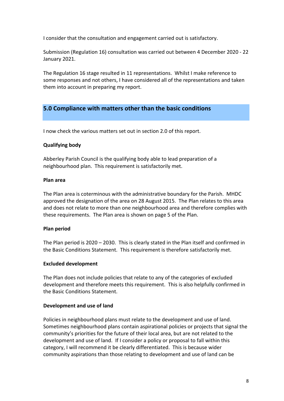I consider that the consultation and engagement carried out is satisfactory.

Submission (Regulation 16) consultation was carried out between 4 December 2020 - 22 January 2021.

The Regulation 16 stage resulted in 11 representations. Whilst I make reference to some responses and not others, I have considered all of the representations and taken them into account in preparing my report.

# **5.0 Compliance with matters other than the basic conditions**

I now check the various matters set out in section 2.0 of this report.

#### **Qualifying body**

Abberley Parish Council is the qualifying body able to lead preparation of a neighbourhood plan. This requirement is satisfactorily met.

#### **Plan area**

The Plan area is coterminous with the administrative boundary for the Parish. MHDC approved the designation of the area on 28 August 2015. The Plan relates to this area and does not relate to more than one neighbourhood area and therefore complies with these requirements. The Plan area is shown on page 5 of the Plan.

#### **Plan period**

The Plan period is  $2020 - 2030$ . This is clearly stated in the Plan itself and confirmed in the Basic Conditions Statement. This requirement is therefore satisfactorily met.

#### **Excluded development**

The Plan does not include policies that relate to any of the categories of excluded development and therefore meets this requirement. This is also helpfully confirmed in the Basic Conditions Statement.

#### **Development and use of land**

Policies in neighbourhood plans must relate to the development and use of land. Sometimes neighbourhood plans contain aspirational policies or projects that signal the community's priorities for the future of their local area, but are not related to the development and use of land. If I consider a policy or proposal to fall within this category, I will recommend it be clearly differentiated. This is because wider community aspirations than those relating to development and use of land can be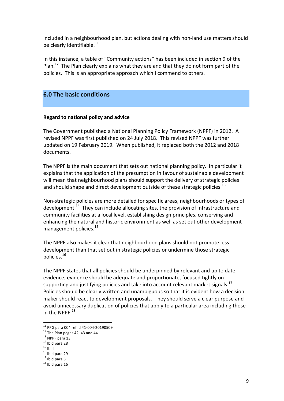included in a neighbourhood plan, but actions dealing with non-land use matters should be clearly identifiable. $^{11}$ 

In this instance, a table of "Community actions" has been included in section 9 of the Plan.<sup>12</sup> The Plan clearly explains what they are and that they do not form part of the policies. This is an appropriate approach which I commend to others.

# **6.0 The basic conditions**

#### **Regard to national policy and advice**

The Government published a National Planning Policy Framework (NPPF) in 2012. A revised NPPF was first published on 24 July 2018. This revised NPPF was further updated on 19 February 2019. When published, it replaced both the 2012 and 2018 documents.

The NPPF is the main document that sets out national planning policy. In particular it explains that the application of the presumption in favour of sustainable development will mean that neighbourhood plans should support the delivery of strategic policies and should shape and direct development outside of these strategic policies.<sup>13</sup>

Non-strategic policies are more detailed for specific areas, neighbourhoods or types of development.<sup>14</sup> They can include allocating sites, the provision of infrastructure and community facilities at a local level, establishing design principles, conserving and enhancing the natural and historic environment as well as set out other development management policies. $^{15}$ 

The NPPF also makes it clear that neighbourhood plans should not promote less development than that set out in strategic policies or undermine those strategic policies. 16

The NPPF states that all policies should be underpinned by relevant and up to date evidence; evidence should be adequate and proportionate, focused tightly on supporting and justifying policies and take into account relevant market signals.<sup>17</sup> Policies should be clearly written and unambiguous so that it is evident how a decision maker should react to development proposals. They should serve a clear purpose and avoid unnecessary duplication of policies that apply to a particular area including those in the NPPF. $^{18}$ 

<sup>&</sup>lt;sup>11</sup> PPG para 004 ref id 41-004-20190509<br>
<sup>12</sup> The Plan pages 42, 43 and 44<br>
<sup>13</sup> NPPF para 13<br>
<sup>14</sup> Ibid para 28<br>
<sup>15</sup> Ibid para 29<br>
<sup>17</sup> Ibid para 31<br>
<sup>18</sup> Ibid para 16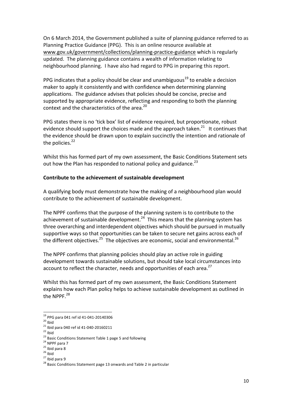On 6 March 2014, the Government published a suite of planning guidance referred to as Planning Practice Guidance (PPG). This is an online resource available at www.gov.uk/government/collections/planning-practice-guidance which is regularly updated. The planning guidance contains a wealth of information relating to neighbourhood planning. I have also had regard to PPG in preparing this report.

PPG indicates that a policy should be clear and unambiguous<sup>19</sup> to enable a decision maker to apply it consistently and with confidence when determining planning applications. The guidance advises that policies should be concise, precise and supported by appropriate evidence, reflecting and responding to both the planning context and the characteristics of the area.<sup>20</sup>

PPG states there is no 'tick box' list of evidence required, but proportionate, robust evidence should support the choices made and the approach taken.<sup>21</sup> It continues that the evidence should be drawn upon to explain succinctly the intention and rationale of the policies. $22$ 

Whilst this has formed part of my own assessment, the Basic Conditions Statement sets out how the Plan has responded to national policy and guidance.<sup>23</sup>

#### **Contribute to the achievement of sustainable development**

A qualifying body must demonstrate how the making of a neighbourhood plan would contribute to the achievement of sustainable development.

The NPPF confirms that the purpose of the planning system is to contribute to the achievement of sustainable development.<sup>24</sup> This means that the planning system has three overarching and interdependent objectives which should be pursued in mutually supportive ways so that opportunities can be taken to secure net gains across each of the different objectives.<sup>25</sup> The objectives are economic, social and environmental.<sup>26</sup>

The NPPF confirms that planning policies should play an active role in guiding development towards sustainable solutions, but should take local circumstances into account to reflect the character, needs and opportunities of each area.<sup>27</sup>

Whilst this has formed part of my own assessment, the Basic Conditions Statement explains how each Plan policy helps to achieve sustainable development as outlined in the NPPF.<sup>28</sup>

<sup>&</sup>lt;sup>19</sup><br>
<sup>19</sup><br>
<sup>20</sup> Ibid<br>
<sup>21</sup> Ibid para 040 ref id 41-040-20160211<br>
<sup>22</sup> Ibid<br>
<sup>23</sup> Basic Conditions Statement Table 1 page 5 and following<br>
<sup>24</sup> NPPF para 7<br>
<sup>25</sup> Ibid para 8<br>
<sup>25</sup> Ibid para 8<br>
<sup>27</sup> Ibid para 9<br>
<sup>28</sup> Basic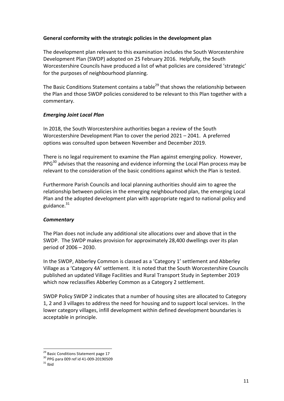#### General conformity with the strategic policies in the development plan

The development plan relevant to this examination includes the South Worcestershire Development Plan (SWDP) adopted on 25 February 2016. Helpfully, the South Worcestershire Councils have produced a list of what policies are considered 'strategic' for the purposes of neighbourhood planning.

The Basic Conditions Statement contains a table<sup>29</sup> that shows the relationship between the Plan and those SWDP policies considered to be relevant to this Plan together with a commentary. 

# *Emerging Joint Local Plan*

In 2018, the South Worcestershire authorities began a review of the South Worcestershire Development Plan to cover the period  $2021 - 2041$ . A preferred options was consulted upon between November and December 2019.

There is no legal requirement to examine the Plan against emerging policy. However,  $PPG<sup>30</sup>$  advises that the reasoning and evidence informing the Local Plan process may be relevant to the consideration of the basic conditions against which the Plan is tested.

Furthermore Parish Councils and local planning authorities should aim to agree the relationship between policies in the emerging neighbourhood plan, the emerging Local Plan and the adopted development plan with appropriate regard to national policy and guidance. $31$ 

# *Commentary*

The Plan does not include any additional site allocations over and above that in the SWDP. The SWDP makes provision for approximately 28,400 dwellings over its plan period of 2006 - 2030.

In the SWDP, Abberley Common is classed as a 'Category 1' settlement and Abberley Village as a 'Category 4A' settlement. It is noted that the South Worcestershire Councils published an updated Village Facilities and Rural Transport Study in September 2019 which now reclassifies Abberley Common as a Category 2 settlement.

SWDP Policy SWDP 2 indicates that a number of housing sites are allocated to Category 1, 2 and 3 villages to address the need for housing and to support local services. In the lower category villages, infill development within defined development boundaries is acceptable in principle.

<sup>&</sup>lt;sup>29</sup> Basic Conditions Statement page 17<br><sup>30</sup> PPG para 009 ref id 41-009-20190509  $^{\frac{31}{11}}$  Ibid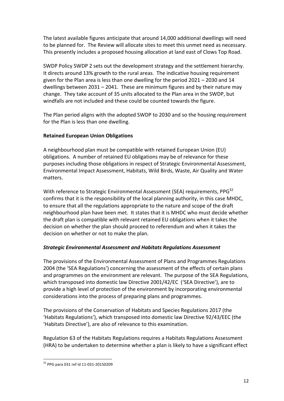The latest available figures anticipate that around 14,000 additional dwellings will need to be planned for. The Review will allocate sites to meet this unmet need as necessary. This presently includes a proposed housing allocation at land east of Clows Top Road.

SWDP Policy SWDP 2 sets out the development strategy and the settlement hierarchy. It directs around 13% growth to the rural areas. The indicative housing requirement given for the Plan area is less than one dwelling for the period  $2021 - 2030$  and 14 dwellings between  $2031 - 2041$ . These are minimum figures and by their nature may change. They take account of 35 units allocated to the Plan area in the SWDP, but windfalls are not included and these could be counted towards the figure.

The Plan period aligns with the adopted SWDP to 2030 and so the housing requirement for the Plan is less than one dwelling.

# **Retained European Union Obligations**

A neighbourhood plan must be compatible with retained European Union (EU) obligations. A number of retained EU obligations may be of relevance for these purposes including those obligations in respect of Strategic Environmental Assessment, Environmental Impact Assessment, Habitats, Wild Birds, Waste, Air Quality and Water matters.

With reference to Strategic Environmental Assessment (SEA) requirements,  $PPG<sup>32</sup>$ confirms that it is the responsibility of the local planning authority, in this case MHDC, to ensure that all the regulations appropriate to the nature and scope of the draft neighbourhood plan have been met. It states that it is MHDC who must decide whether the draft plan is compatible with relevant retained EU obligations when it takes the decision on whether the plan should proceed to referendum and when it takes the decision on whether or not to make the plan.

# *Strategic Environmental Assessment and Habitats Regulations Assessment*

The provisions of the Environmental Assessment of Plans and Programmes Regulations 2004 (the 'SEA Regulations') concerning the assessment of the effects of certain plans and programmes on the environment are relevant. The purpose of the SEA Regulations, which transposed into domestic law Directive 2001/42/EC ('SEA Directive'), are to provide a high level of protection of the environment by incorporating environmental considerations into the process of preparing plans and programmes.

The provisions of the Conservation of Habitats and Species Regulations 2017 (the 'Habitats Regulations'), which transposed into domestic law Directive 92/43/EEC (the 'Habitats Directive'), are also of relevance to this examination.

Regulation 63 of the Habitats Regulations requires a Habitats Regulations Assessment (HRA) to be undertaken to determine whether a plan is likely to have a significant effect

 $32$  PPG para 031 ref id 11-031-20150209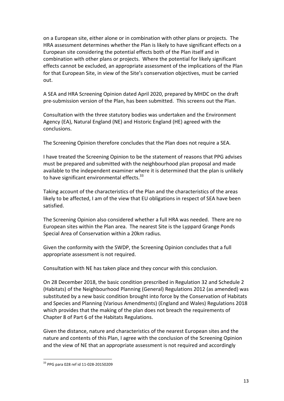on a European site, either alone or in combination with other plans or projects. The HRA assessment determines whether the Plan is likely to have significant effects on a European site considering the potential effects both of the Plan itself and in combination with other plans or projects. Where the potential for likely significant effects cannot be excluded, an appropriate assessment of the implications of the Plan for that European Site, in view of the Site's conservation objectives, must be carried out. 

A SEA and HRA Screening Opinion dated April 2020, prepared by MHDC on the draft pre-submission version of the Plan, has been submitted. This screens out the Plan.

Consultation with the three statutory bodies was undertaken and the Environment Agency (EA), Natural England (NE) and Historic England (HE) agreed with the conclusions.

The Screening Opinion therefore concludes that the Plan does not require a SEA.

I have treated the Screening Opinion to be the statement of reasons that PPG advises must be prepared and submitted with the neighbourhood plan proposal and made available to the independent examiner where it is determined that the plan is unlikely to have significant environmental effects. $33$ 

Taking account of the characteristics of the Plan and the characteristics of the areas likely to be affected, I am of the view that EU obligations in respect of SEA have been satisfied.

The Screening Opinion also considered whether a full HRA was needed. There are no European sites within the Plan area. The nearest Site is the Lyppard Grange Ponds Special Area of Conservation within a 20km radius.

Given the conformity with the SWDP, the Screening Opinion concludes that a full appropriate assessment is not required.

Consultation with NE has taken place and they concur with this conclusion.

On 28 December 2018, the basic condition prescribed in Regulation 32 and Schedule 2 (Habitats) of the Neighbourhood Planning (General) Regulations 2012 (as amended) was substituted by a new basic condition brought into force by the Conservation of Habitats and Species and Planning (Various Amendments) (England and Wales) Regulations 2018 which provides that the making of the plan does not breach the requirements of Chapter 8 of Part 6 of the Habitats Regulations.

Given the distance, nature and characteristics of the nearest European sites and the nature and contents of this Plan, I agree with the conclusion of the Screening Opinion and the view of NE that an appropriate assessment is not required and accordingly

 $33$  PPG para 028 ref id 11-028-20150209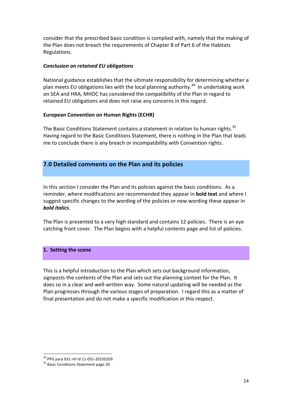consider that the prescribed basic condition is complied with, namely that the making of the Plan does not breach the requirements of Chapter 8 of Part 6 of the Habitats Regulations. 

#### *Conclusion on retained EU obligations*

National guidance establishes that the ultimate responsibility for determining whether a plan meets EU obligations lies with the local planning authority.<sup>34</sup> In undertaking work on SEA and HRA, MHDC has considered the compatibility of the Plan in regard to retained EU obligations and does not raise any concerns in this regard.

#### **European Convention on Human Rights (ECHR)**

The Basic Conditions Statement contains a statement in relation to human rights. $35$ Having regard to the Basic Conditions Statement, there is nothing in the Plan that leads me to conclude there is any breach or incompatibility with Convention rights.

# **7.0 Detailed comments on the Plan and its policies**

In this section I consider the Plan and its policies against the basic conditions. As a reminder, where modifications are recommended they appear in **bold text** and where I suggest specific changes to the wording of the policies or new wording these appear in *bold italics*.

The Plan is presented to a very high standard and contains 12 policies. There is an eve catching front cover. The Plan begins with a helpful contents page and list of policies.

#### 1. Setting the scene

This is a helpful introduction to the Plan which sets out background information, signposts the contents of the Plan and sets out the planning context for the Plan. It does so in a clear and well-written way. Some natural updating will be needed as the Plan progresses through the various stages of preparation. I regard this as a matter of final presentation and do not make a specific modification in this respect.

 $34$  PPG para 031 ref id 11-031-20150209<br> $35$  Basic Conditions Statement page 20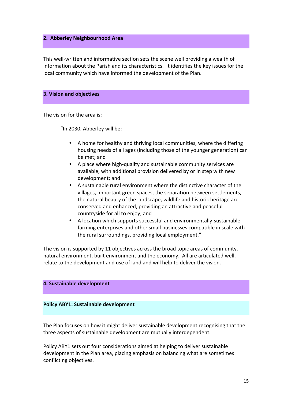#### **2. Abberley Neighbourhood Area**

This well-written and informative section sets the scene well providing a wealth of information about the Parish and its characteristics. It identifies the key issues for the local community which have informed the development of the Plan.

#### **3. Vision and objectives**

The vision for the area is:

"In 2030, Abberley will be:

- A home for healthy and thriving local communities, where the differing housing needs of all ages (including those of the younger generation) can be met; and
- A place where high-quality and sustainable community services are available, with additional provision delivered by or in step with new development: and
- A sustainable rural environment where the distinctive character of the villages, important green spaces, the separation between settlements, the natural beauty of the landscape, wildlife and historic heritage are conserved and enhanced, providing an attractive and peaceful countryside for all to enjoy; and
- A location which supports successful and environmentally-sustainable farming enterprises and other small businesses compatible in scale with the rural surroundings, providing local employment."

The vision is supported by 11 objectives across the broad topic areas of community, natural environment, built environment and the economy. All are articulated well, relate to the development and use of land and will help to deliver the vision.

#### **4. Sustainable development**

#### **Policy ABY1: Sustainable development**

The Plan focuses on how it might deliver sustainable development recognising that the three aspects of sustainable development are mutually interdependent.

Policy ABY1 sets out four considerations aimed at helping to deliver sustainable development in the Plan area, placing emphasis on balancing what are sometimes conflicting objectives.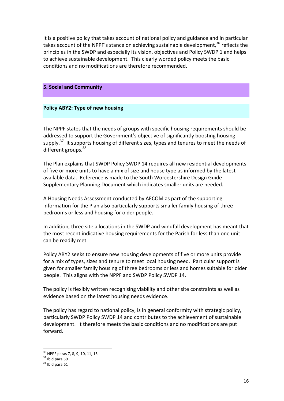It is a positive policy that takes account of national policy and guidance and in particular takes account of the NPPF's stance on achieving sustainable development,<sup>36</sup> reflects the principles in the SWDP and especially its vision, objectives and Policy SWDP 1 and helps to achieve sustainable development. This clearly worded policy meets the basic conditions and no modifications are therefore recommended.

#### **5. Social and Community**

#### **Policy ABY2: Type of new housing**

The NPPF states that the needs of groups with specific housing requirements should be addressed to support the Government's objective of significantly boosting housing supply.<sup>37</sup> It supports housing of different sizes, types and tenures to meet the needs of different groups.<sup>38</sup>

The Plan explains that SWDP Policy SWDP 14 requires all new residential developments of five or more units to have a mix of size and house type as informed by the latest available data. Reference is made to the South Worcestershire Design Guide Supplementary Planning Document which indicates smaller units are needed.

A Housing Needs Assessment conducted by AECOM as part of the supporting information for the Plan also particularly supports smaller family housing of three bedrooms or less and housing for older people.

In addition, three site allocations in the SWDP and windfall development has meant that the most recent indicative housing requirements for the Parish for less than one unit can be readily met.

Policy ABY2 seeks to ensure new housing developments of five or more units provide for a mix of types, sizes and tenure to meet local housing need. Particular support is given for smaller family housing of three bedrooms or less and homes suitable for older people. This aligns with the NPPF and SWDP Policy SWDP 14.

The policy is flexibly written recognising viability and other site constraints as well as evidence based on the latest housing needs evidence.

The policy has regard to national policy, is in general conformity with strategic policy, particularly SWDP Policy SWDP 14 and contributes to the achievement of sustainable development. It therefore meets the basic conditions and no modifications are put forward.

 $3^{5}$  NPPF paras 7, 8, 9, 10, 11, 13<br> $3^{7}$  Ibid para 59<br> $3^{8}$  Ibid para 61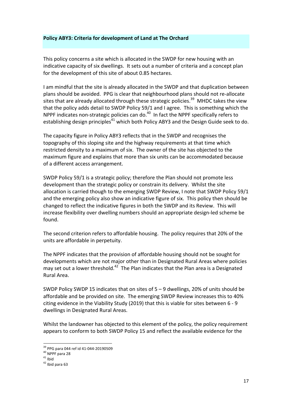#### **Policy ABY3: Criteria for development of Land at The Orchard**

This policy concerns a site which is allocated in the SWDP for new housing with an indicative capacity of six dwellings. It sets out a number of criteria and a concept plan for the development of this site of about 0.85 hectares.

I am mindful that the site is already allocated in the SWDP and that duplication between plans should be avoided. PPG is clear that neighbourhood plans should not re-allocate sites that are already allocated through these strategic policies.<sup>39</sup> MHDC takes the view that the policy adds detail to SWDP Policy 59/1 and I agree. This is something which the NPPF indicates non-strategic policies can do. $40$  In fact the NPPF specifically refers to establishing design principles<sup>41</sup> which both Policy ABY3 and the Design Guide seek to do.

The capacity figure in Policy ABY3 reflects that in the SWDP and recognises the topography of this sloping site and the highway requirements at that time which restricted density to a maximum of six. The owner of the site has objected to the maximum figure and explains that more than six units can be accommodated because of a different access arrangement.

SWDP Policy 59/1 is a strategic policy; therefore the Plan should not promote less development than the strategic policy or constrain its delivery. Whilst the site allocation is carried though to the emerging SWDP Review, I note that SWDP Policy 59/1 and the emerging policy also show an indicative figure of six. This policy then should be changed to reflect the indicative figures in both the SWDP and its Review. This will increase flexibility over dwelling numbers should an appropriate design-led scheme be found.

The second criterion refers to affordable housing. The policy requires that 20% of the units are affordable in perpetuity.

The NPPF indicates that the provision of affordable housing should not be sought for developments which are not major other than in Designated Rural Areas where policies may set out a lower threshold.<sup>42</sup> The Plan indicates that the Plan area is a Designated Rural Area.

SWDP Policy SWDP 15 indicates that on sites of  $5 - 9$  dwellings, 20% of units should be affordable and be provided on site. The emerging SWDP Review increases this to 40% citing evidence in the Viability Study (2019) that this is viable for sites between  $6 - 9$ dwellings in Designated Rural Areas.

Whilst the landowner has objected to this element of the policy, the policy requirement appears to conform to both SWDP Policy 15 and reflect the available evidence for the

<sup>&</sup>lt;sup>39</sup> PPG para 044 ref id 41-044-20190509<br><sup>40</sup> NPPF para 28<br><sup>41</sup> Ibid<br><sup>42</sup> Ibid para 63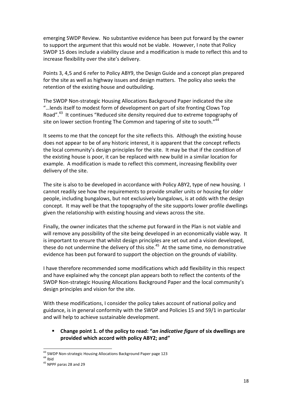emerging SWDP Review. No substantive evidence has been put forward by the owner to support the argument that this would not be viable. However, I note that Policy SWDP 15 does include a viability clause and a modification is made to reflect this and to increase flexibility over the site's delivery.

Points 3, 4,5 and 6 refer to Policy ABY9, the Design Guide and a concept plan prepared for the site as well as highway issues and design matters. The policy also seeks the retention of the existing house and outbuilding.

The SWDP Non-strategic Housing Allocations Background Paper indicated the site "...lends itself to modest form of development on part of site fronting Clows Top Road".<sup>43</sup> It continues "Reduced site density required due to extreme topography of site on lower section fronting The Common and tapering of site to south." $44$ 

It seems to me that the concept for the site reflects this. Although the existing house does not appear to be of any historic interest, it is apparent that the concept reflects the local community's design principles for the site. It may be that if the condition of the existing house is poor, it can be replaced with new build in a similar location for example. A modification is made to reflect this comment, increasing flexibility over delivery of the site.

The site is also to be developed in accordance with Policy ABY2, type of new housing. I cannot readily see how the requirements to provide smaller units or housing for older people, including bungalows, but not exclusively bungalows, is at odds with the design concept. It may well be that the topography of the site supports lower profile dwellings given the relationship with existing housing and views across the site.

Finally, the owner indicates that the scheme put forward in the Plan is not viable and will remove any possibility of the site being developed in an economically viable way. It is important to ensure that whilst design principles are set out and a vision developed, these do not undermine the delivery of this site. $45$  At the same time, no demonstrative evidence has been put forward to support the objection on the grounds of viability.

I have therefore recommended some modifications which add flexibility in this respect and have explained why the concept plan appears both to reflect the contents of the SWDP Non-strategic Housing Allocations Background Paper and the local community's design principles and vision for the site.

With these modifications, I consider the policy takes account of national policy and guidance, is in general conformity with the SWDP and Policies 15 and 59/1 in particular and will help to achieve sustainable development.

# Change point 1. of the policy to read: "an indicative figure of six dwellings are **provided which accord with policy ABY2: and"**

<sup>&</sup>lt;sup>43</sup> SWDP Non-strategic Housing Allocations Background Paper page 123<br><sup>44</sup> Ibid<br><sup>45</sup> NPPF naras 28 and 29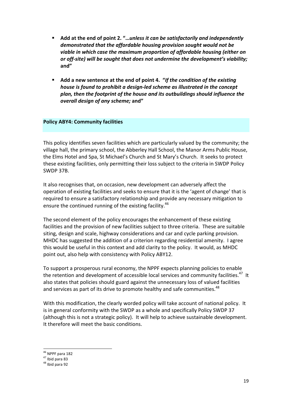- Add at the end of point 2. "*...unless it can be satisfactorily and independently* demonstrated that the affordable housing provision sought would not be viable in which case the maximum proportion of affordable housing (either on or off-site) will be sought that does not undermine the development's viability; **and"**
- Add a new sentence at the end of point 4. "If the condition of the existing *house is found to prohibit a design-led scheme as illustrated in the concept* plan, then the footprint of the house and its outbuildings should influence the *overall design of any scheme;* **and"**

#### **Policy ABY4: Community facilities**

This policy identifies seven facilities which are particularly valued by the community; the village hall, the primary school, the Abberley Hall School, the Manor Arms Public House, the Elms Hotel and Spa, St Michael's Church and St Mary's Church. It seeks to protect these existing facilities, only permitting their loss subject to the criteria in SWDP Policy SWDP 37B.

It also recognises that, on occasion, new development can adversely affect the operation of existing facilities and seeks to ensure that it is the 'agent of change' that is required to ensure a satisfactory relationship and provide any necessary mitigation to ensure the continued running of the existing facility.<sup>46</sup>

The second element of the policy encourages the enhancement of these existing facilities and the provision of new facilities subject to three criteria. These are suitable siting, design and scale, highway considerations and car and cycle parking provision. MHDC has suggested the addition of a criterion regarding residential amenity. I agree this would be useful in this context and add clarity to the policy. It would, as MHDC point out, also help with consistency with Policy ABY12.

To support a prosperous rural economy, the NPPF expects planning policies to enable the retention and development of accessible local services and community facilities.<sup>47</sup> It also states that policies should guard against the unnecessary loss of valued facilities and services as part of its drive to promote healthy and safe communities.<sup>48</sup>

With this modification, the clearly worded policy will take account of national policy. It is in general conformity with the SWDP as a whole and specifically Policy SWDP 37 (although this is not a strategic policy). It will help to achieve sustainable development. It therefore will meet the basic conditions.

 $46$  NPPF para 182<br>  $47$  Ibid para 83<br>  $48$  Ibid para 92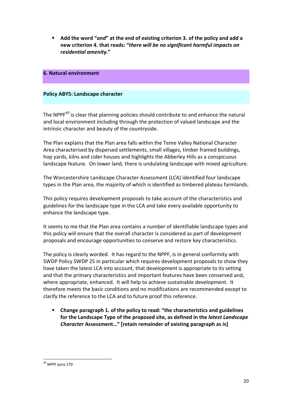**E** Add the word "and" at the end of existing criterion 3. of the policy and add a new criterion 4. that reads: "there will be no significant harmful impacts on *residential amenity.***"**

#### **6. Natural environment**

#### **Policy ABY5: Landscape character**

The NPPF<sup>49</sup> is clear that planning policies should contribute to and enhance the natural and local environment including through the protection of valued landscape and the intrinsic character and beauty of the countryside.

The Plan explains that the Plan area falls within the Teme Valley National Character Area characterised by dispersed settlements, small villages, timber framed buildings, hop yards, kilns and cider houses and highlights the Abberley Hills as a conspicuous landscape feature. On lower land, there is undulating landscape with mixed agriculture.

The Worcestershire Landscape Character Assessment (LCA) identified four landscape types in the Plan area, the majority of which is identified as timbered plateau farmlands.

This policy requires development proposals to take account of the characteristics and guidelines for the landscape type in the LCA and take every available opportunity to enhance the landscape type.

It seems to me that the Plan area contains a number of identifiable landscape types and this policy will ensure that the overall character is considered as part of development proposals and encourage opportunities to conserve and restore key characteristics.

The policy is clearly worded. It has regard to the NPPF, is in general conformity with SWDP Policy SWDP 25 in particular which requires development proposals to show they have taken the latest LCA into account, that development is appropriate to its setting and that the primary characteristics and important features have been conserved and, where appropriate, enhanced. It will help to achieve sustainable development. It therefore meets the basic conditions and no modifications are recommended except to clarify the reference to the LCA and to future proof this reference.

Change paragraph 1. of the policy to read: "the characteristics and guidelines for the Landscape Type of the proposed site, as defined in the *latest Landscape* **Character** Assessment..." [retain remainder of existing paragraph as is]

 $49$  NPPF para 170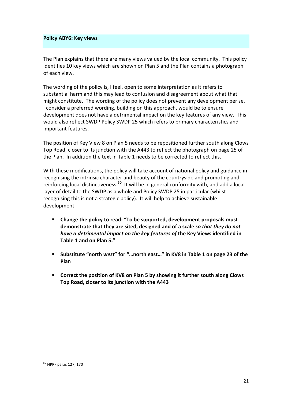#### **Policy ABY6: Key views**

The Plan explains that there are many views valued by the local community. This policy identifies 10 key views which are shown on Plan 5 and the Plan contains a photograph of each view.

The wording of the policy is, I feel, open to some interpretation as it refers to substantial harm and this may lead to confusion and disagreement about what that might constitute. The wording of the policy does not prevent any development per se. I consider a preferred wording, building on this approach, would be to ensure development does not have a detrimental impact on the key features of any view. This would also reflect SWDP Policy SWDP 25 which refers to primary characteristics and important features.

The position of Key View 8 on Plan 5 needs to be repositioned further south along Clows Top Road, closer to its junction with the A443 to reflect the photograph on page 25 of the Plan. In addition the text in Table 1 needs to be corrected to reflect this.

With these modifications, the policy will take account of national policy and guidance in recognising the intrinsic character and beauty of the countryside and promoting and reinforcing local distinctiveness.<sup>50</sup> It will be in general conformity with, and add a local layer of detail to the SWDP as a whole and Policy SWDP 25 in particular (whilst recognising this is not a strategic policy). It will help to achieve sustainable development. 

- Change the policy to read: "To be supported, development proposals must demonstrate that they are sited, designed and of a scale so that they do not *have a detrimental impact on the key features of the Key Views identified in* Table 1 and on Plan 5."
- Substitute "north west" for "...north east..." in KV8 in Table 1 on page 23 of the **Plan**
- **Example 1** Correct the position of KV8 on Plan 5 by showing it further south along Clows Top Road, closer to its junction with the A443

 $50$  NPPF paras 127, 170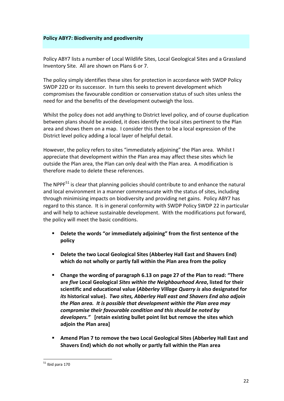#### **Policy ABY7: Biodiversity and geodiversity**

Policy ABY7 lists a number of Local Wildlife Sites, Local Geological Sites and a Grassland Inventory Site. All are shown on Plans 6 or 7.

The policy simply identifies these sites for protection in accordance with SWDP Policy SWDP 22D or its successor. In turn this seeks to prevent development which compromises the favourable condition or conservation status of such sites unless the need for and the benefits of the development outweigh the loss.

Whilst the policy does not add anything to District level policy, and of course duplication between plans should be avoided, it does identify the local sites pertinent to the Plan area and shows them on a map. I consider this then to be a local expression of the District level policy adding a local layer of helpful detail.

However, the policy refers to sites "immediately adjoining" the Plan area. Whilst I appreciate that development within the Plan area may affect these sites which lie outside the Plan area, the Plan can only deal with the Plan area. A modification is therefore made to delete these references.

The NPPF $<sup>51</sup>$  is clear that planning policies should contribute to and enhance the natural</sup> and local environment in a manner commensurate with the status of sites, including through minimising impacts on biodiversity and providing net gains. Policy ABY7 has regard to this stance. It is in general conformity with SWDP Policy SWDP 22 in particular and will help to achieve sustainable development. With the modifications put forward, the policy will meet the basic conditions.

- Delete the words "or immediately adjoining" from the first sentence of the **policy**
- Delete the two Local Geological Sites (Abberley Hall East and Shavers End) which do not wholly or partly fall within the Plan area from the policy
- **E** Change the wording of paragraph 6.13 on page 27 of the Plan to read: "There are *five* Local Geological Sites within the Neighbourhood Area, listed for their scientific and educational value (*Abberley Village Quarry is* also designated for *its* historical value). Two sites, Abberley Hall east and Shavers End also adjoin *the Plan area.* It is possible that development within the Plan area may *compromise their favourable condition and this should be noted by* developers." [retain existing bullet point list but remove the sites which **adjoin the Plan area]**
- Amend Plan 7 to remove the two Local Geological Sites (Abberley Hall East and Shavers End) which do not wholly or partly fall within the Plan area

 $51$  Ibid para 170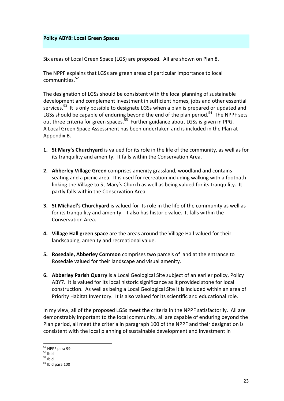#### **Policy ABY8: Local Green Spaces**

Six areas of Local Green Space (LGS) are proposed. All are shown on Plan 8.

The NPPF explains that LGSs are green areas of particular importance to local communities.<sup>52</sup>

The designation of LGSs should be consistent with the local planning of sustainable development and complement investment in sufficient homes, jobs and other essential services.<sup>53</sup> It is only possible to designate LGSs when a plan is prepared or updated and LGSs should be capable of enduring beyond the end of the plan period.<sup>54</sup> The NPPF sets out three criteria for green spaces.<sup>55</sup> Further guidance about LGSs is given in PPG. A Local Green Space Assessment has been undertaken and is included in the Plan at Appendix B. 

- **1.** St Mary's Churchyard is valued for its role in the life of the community, as well as for its tranquility and amenity. It falls within the Conservation Area.
- **2.** Abberley Village Green comprises amenity grassland, woodland and contains seating and a picnic area. It is used for recreation including walking with a footpath linking the Village to St Mary's Church as well as being valued for its tranquility. It partly falls within the Conservation Area.
- **3. St Michael's Churchyard** is valued for its role in the life of the community as well as for its tranquility and amenity. It also has historic value. It falls within the Conservation Area.
- **4.** Village Hall green space are the areas around the Village Hall valued for their landscaping, amenity and recreational value.
- **5.** Rosedale, Abberley Common comprises two parcels of land at the entrance to Rosedale valued for their landscape and visual amenity.
- **6.** Abberley Parish Quarry is a Local Geological Site subject of an earlier policy, Policy ABY7. It is valued for its local historic significance as it provided stone for local construction. As well as being a Local Geological Site it is included within an area of Priority Habitat Inventory. It is also valued for its scientific and educational role.

In my view, all of the proposed LGSs meet the criteria in the NPPF satisfactorily. All are demonstrably important to the local community, all are capable of enduring beyond the Plan period, all meet the criteria in paragraph 100 of the NPPF and their designation is consistent with the local planning of sustainable development and investment in

<sup>&</sup>lt;sup>52</sup> NPPF para 99<br><sup>53</sup> Ibid<br><sup>54</sup> Ibid<br><sup>55</sup> Ibid para 100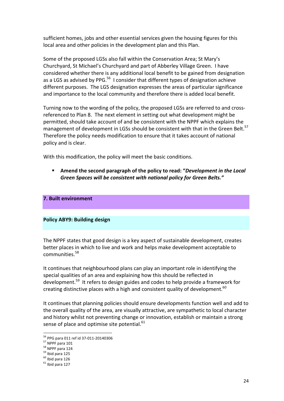sufficient homes, jobs and other essential services given the housing figures for this local area and other policies in the development plan and this Plan.

Some of the proposed LGSs also fall within the Conservation Area; St Mary's Churchyard, St Michael's Churchyard and part of Abberley Village Green. I have considered whether there is any additional local benefit to be gained from designation as a LGS as advised by PPG.<sup>56</sup> I consider that different types of designation achieve different purposes. The LGS designation expresses the areas of particular significance and importance to the local community and therefore there is added local benefit.

Turning now to the wording of the policy, the proposed LGSs are referred to and crossreferenced to Plan 8. The next element in setting out what development might be permitted, should take account of and be consistent with the NPPF which explains the management of development in LGSs should be consistent with that in the Green Belt.<sup>57</sup> Therefore the policy needs modification to ensure that it takes account of national policy and is clear.

With this modification, the policy will meet the basic conditions.

Amend the second paragraph of the policy to read: "*Development in the Local Green Spaces will be consistent with national policy for Green Belts."*

#### **7. Built environment**

#### **Policy ABY9: Building design**

The NPPF states that good design is a key aspect of sustainable development, creates better places in which to live and work and helps make development acceptable to communities<sup>58</sup>

It continues that neighbourhood plans can play an important role in identifying the special qualities of an area and explaining how this should be reflected in development.<sup>59</sup> It refers to design guides and codes to help provide a framework for creating distinctive places with a high and consistent quality of development.  $60<sup>o</sup>$ 

It continues that planning policies should ensure developments function well and add to the overall quality of the area, are visually attractive, are sympathetic to local character and history whilst not preventing change or innovation, establish or maintain a strong sense of place and optimise site potential. $61$ 

<sup>&</sup>lt;sup>56</sup> PPG para 011 ref id 37-011-20140306<br><sup>57</sup> NPPF para 101<br><sup>58</sup> NPPF para 124<br><sup>59</sup> Ibid para 125<br><sup>60</sup> Ibid para 126<br><sup>61</sup> Ibid para 127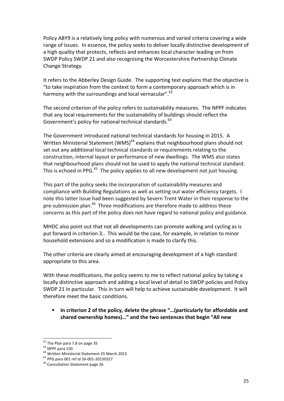Policy ABY9 is a relatively long policy with numerous and varied criteria covering a wide range of issues. In essence, the policy seeks to deliver locally distinctive development of a high quality that protects, reflects and enhances local character leading on from SWDP Policy SWDP 21 and also recognising the Worcestershire Partnership Climate Change Strategy.

It refers to the Abberley Design Guide. The supporting text explains that the objective is "to take inspiration from the context to form a contemporary approach which is in harmony with the surroundings and local vernacular".<sup>62</sup>

The second criterion of the policy refers to sustainability measures. The NPPF indicates that any local requirements for the sustainability of buildings should reflect the Government's policy for national technical standards.<sup>63</sup>

The Government introduced national technical standards for housing in 2015. A Written Ministerial Statement (WMS) $^{64}$  explains that neighbourhood plans should not set out any additional local technical standards or requirements relating to the construction, internal layout or performance of new dwellings. The WMS also states that neighbourhood plans should not be used to apply the national technical standard. This is echoed in PPG. $^{65}$  The policy applies to all new development not just housing.

This part of the policy seeks the incorporation of sustainability measures and compliance with Building Regulations as well as setting out water efficiency targets. I note this latter issue had been suggested by Severn Trent Water in their response to the pre-submission plan.<sup>66</sup> Three modifications are therefore made to address these concerns as this part of the policy does not have regard to national policy and guidance.

MHDC also point out that not all developments can promote walking and cycling as is put forward in criterion 3.. This would be the case, for example, in relation to minor household extensions and so a modification is made to clarify this.

The other criteria are clearly aimed at encouraging development of a high standard appropriate to this area.

With these modifications, the policy seems to me to reflect national policy by taking a locally distinctive approach and adding a local level of detail to SWDP policies and Policy SWDP 21 in particular. This in turn will help to achieve sustainable development. It will therefore meet the basic conditions.

In criterion 2 of the policy, delete the phrase "...(particularly for affordable and shared ownership homes)..." and the two sentences that begin "All new

<sup>&</sup>lt;sup>62</sup> The Plan para 7.8 on page 35<br><sup>63</sup> NPPF para 150<br><sup>64</sup> Written Ministerial Statement 25 March 2015<br><sup>65</sup> PPG para 001 ref id 56-001-20150327<br><sup>66</sup> Consultation Statement page 26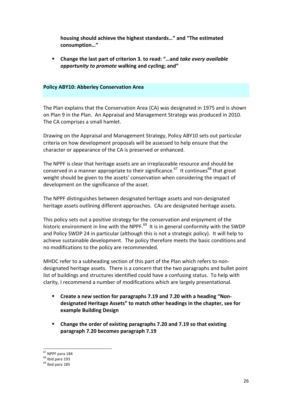housing should achieve the highest standards..." and "The estimated **consumption…"** 

Change the last part of criterion 3. to read: "...and take every available *opportunity to promote* walking and cycling; and"

#### **Policy ABY10: Abberley Conservation Area**

The Plan explains that the Conservation Area (CA) was designated in 1975 and is shown on Plan 9 in the Plan. An Appraisal and Management Strategy was produced in 2010. The CA comprises a small hamlet.

Drawing on the Appraisal and Management Strategy, Policy ABY10 sets out particular criteria on how development proposals will be assessed to help ensure that the character or appearance of the CA is preserved or enhanced.

The NPPF is clear that heritage assets are an irreplaceable resource and should be conserved in a manner appropriate to their significance.<sup>67</sup> It continues<sup>68</sup> that great weight should be given to the assets' conservation when considering the impact of development on the significance of the asset.

The NPPF distinguishes between designated heritage assets and non-designated heritage assets outlining different approaches. CAs are designated heritage assets.

This policy sets out a positive strategy for the conservation and enjoyment of the historic environment in line with the NPPF.<sup>69</sup> It is in general conformity with the SWDP and Policy SWDP 24 in particular (although this is not a strategic policy). It will help to achieve sustainable development. The policy therefore meets the basic conditions and no modifications to the policy are recommended.

MHDC refer to a subheading section of this part of the Plan which refers to nondesignated heritage assets. There is a concern that the two paragraphs and bullet point list of buildings and structures identified could have a confusing status. To help with clarity, I recommend a number of modifications which are largely presentational.

- **Example 2** Create a new section for paragraphs 7.19 and 7.20 with a heading "Nondesignated Heritage Assets" to match other headings in the chapter, see for **example Building Design**
- **E** Change the order of existing paragraphs 7.20 and 7.19 so that existing **paragraph 7.20 becomes paragraph 7.19**

 $67$  NPPF para 184<br> $68$  Ibid para 193<br> $69$  Ibid para 185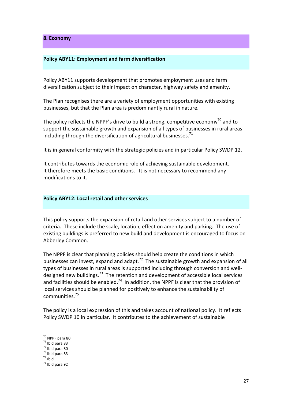**8. Economy**

#### **Policy ABY11: Employment and farm diversification**

Policy ABY11 supports development that promotes employment uses and farm diversification subject to their impact on character, highway safety and amenity.

The Plan recognises there are a variety of employment opportunities with existing businesses, but that the Plan area is predominantly rural in nature.

The policy reflects the NPPF's drive to build a strong, competitive economy<sup>70</sup> and to support the sustainable growth and expansion of all types of businesses in rural areas including through the diversification of agricultural businesses.<sup>71</sup>

It is in general conformity with the strategic policies and in particular Policy SWDP 12.

It contributes towards the economic role of achieving sustainable development. It therefore meets the basic conditions. It is not necessary to recommend any modifications to it.

#### **Policy ABY12: Local retail and other services**

This policy supports the expansion of retail and other services subject to a number of criteria. These include the scale, location, effect on amenity and parking. The use of existing buildings is preferred to new build and development is encouraged to focus on Abberley Common.

The NPPF is clear that planning policies should help create the conditions in which businesses can invest, expand and adapt.<sup>72</sup> The sustainable growth and expansion of all types of businesses in rural areas is supported including through conversion and welldesigned new buildings.<sup>73</sup> The retention and development of accessible local services and facilities should be enabled.<sup>74</sup> In addition, the NPPF is clear that the provision of local services should be planned for positively to enhance the sustainability of communities.<sup>75</sup>

The policy is a local expression of this and takes account of national policy. It reflects Policy SWDP 10 in particular. It contributes to the achievement of sustainable

<sup>&</sup>lt;sup>70</sup> NPPF para 80<br><sup>71</sup> Ibid para 83<br><sup>72</sup> Ibid para 80<br><sup>73</sup> Ibid para 83<br><sup>74</sup> Ibid<br><sup>75</sup> Ibid para 92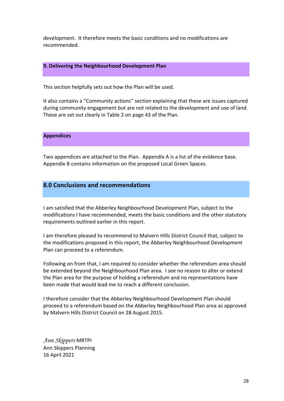development. It therefore meets the basic conditions and no modifications are recommended.

#### **9. Delivering the Neighbourhood Development Plan**

This section helpfully sets out how the Plan will be used.

It also contains a "Community actions" section explaining that these are issues captured during community engagement but are not related to the development and use of land. These are set out clearly in Table 2 on page 43 of the Plan.

#### **Appendices**

Two appendices are attached to the Plan. Appendix A is a list of the evidence base. Appendix B contains information on the proposed Local Green Spaces.

# **8.0 Conclusions and recommendations**

I am satisfied that the Abberley Neighbourhood Development Plan, subject to the modifications I have recommended, meets the basic conditions and the other statutory requirements outlined earlier in this report.

I am therefore pleased to recommend to Malvern Hills District Council that, subject to the modifications proposed in this report, the Abberley Neighbourhood Development Plan can proceed to a referendum.

Following on from that, I am required to consider whether the referendum area should be extended beyond the Neighbourhood Plan area. I see no reason to alter or extend the Plan area for the purpose of holding a referendum and no representations have been made that would lead me to reach a different conclusion.

I therefore consider that the Abberley Neighbourhood Development Plan should proceed to a referendum based on the Abberley Neighbourhood Plan area as approved by Malvern Hills District Council on 28 August 2015.

*Ann Skippers* MRTPI Ann Skippers Planning 16 April 2021